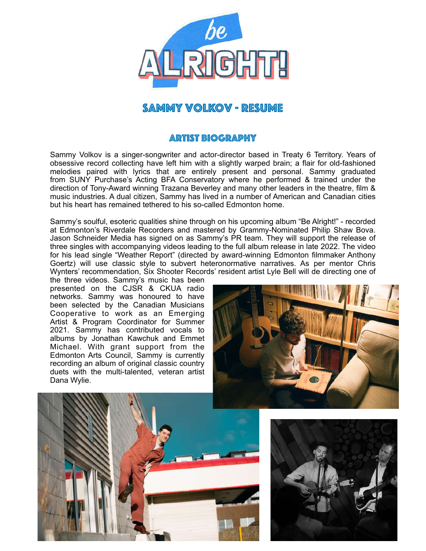

# Sammy Volkov - Resume

### Artist Biography

Sammy Volkov is a singer-songwriter and actor-director based in Treaty 6 Territory. Years of obsessive record collecting have left him with a slightly warped brain; a flair for old-fashioned melodies paired with lyrics that are entirely present and personal. Sammy graduated from SUNY Purchase's Acting BFA Conservatory where he performed & trained under the direction of Tony-Award winning Trazana Beverley and many other leaders in the theatre, film & music industries. A dual citizen, Sammy has lived in a number of American and Canadian cities but his heart has remained tethered to his so-called Edmonton home.

Sammy's soulful, esoteric qualities shine through on his upcoming album "Be Alright!" - recorded at Edmonton's Riverdale Recorders and mastered by Grammy-Nominated Philip Shaw Bova. Jason Schneider Media has signed on as Sammy's PR team. They will support the release of three singles with accompanying videos leading to the full album release in late 2022. The video for his lead single "Weather Report" (directed by award-winning Edmonton filmmaker Anthony Goertz) will use classic style to subvert heteronormative narratives. As per mentor Chris Wynters' recommendation, Six Shooter Records' resident artist Lyle Bell will de directing one of

the three videos. Sammy's music has been presented on the CJSR & CKUA radio networks. Sammy was honoured to have been selected by the Canadian Musicians Cooperative to work as an Emerging Artist & Program Coordinator for Summer 2021. Sammy has contributed vocals to albums by Jonathan Kawchuk and Emmet Michael. With grant support from the Edmonton Arts Council, Sammy is currently recording an album of original classic country duets with the multi-talented, veteran artist Dana Wylie.





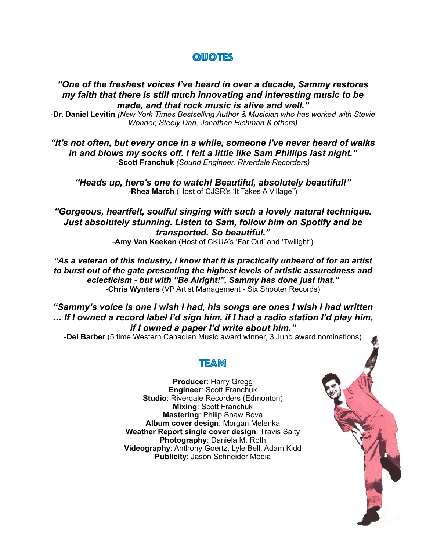## **QUOTES**

#### *"One of the freshest voices I've heard in over a decade, Sammy restores my faith that there is still much innovating and interesting music to be made, and that rock music is alive and well."*

-**Dr. Daniel Levitin** *(New York Times Bestselling Author & Musician who has worked with Stevie Wonder, Steely Dan, Jonathan Richman & others)*

*"It's not often, but every once in a while, someone I've never heard of walks in and blows my socks off. I felt a little like Sam Phillips last night."* -**Scott Franchuk** *(Sound Engineer, Riverdale Recorders)*

*"Heads up, here's one to watch! Beautiful, absolutely beautiful!"* -**Rhea March** (Host of CJSR's 'It Takes A Village")

*"Gorgeous, heartfelt, soulful singing with such a lovely natural technique. Just absolutely stunning. Listen to Sam, follow him on Spotify and be transported. So beautiful."* -**Amy Van Keeken** (Host of CKUA's 'Far Out' and 'Twilight')

*"As a veteran of this industry, I know that it is practically unheard of for an artist to burst out of the gate presenting the highest levels of artistic assuredness and eclecticism - but with "Be Alright!", Sammy has done just that."* -**Chris Wynters** (VP Artist Management - Six Shooter Records)

*"Sammy's voice is one I wish I had, his songs are ones I wish I had written … If I owned a record label I'd sign him, if I had a radio station I'd play him, if I owned a paper I'd write about him."* 

-**Del Barber** (5 time Western Canadian Music award winner, 3 Juno award nominations)

### Team

**Producer**: Harry Gregg **Engineer**: Scott Franchuk **Studio**: Riverdale Recorders (Edmonton) **Mixing**: Scott Franchuk **Mastering**: Philip Shaw Bova **Album cover design**: Morgan Melenka **Weather Report single cover design**: Travis Salty **Photography**: Daniela M. Roth **Videography**: Anthony Goertz, Lyle Bell, Adam Kidd **Publicity**: Jason Schneider Media